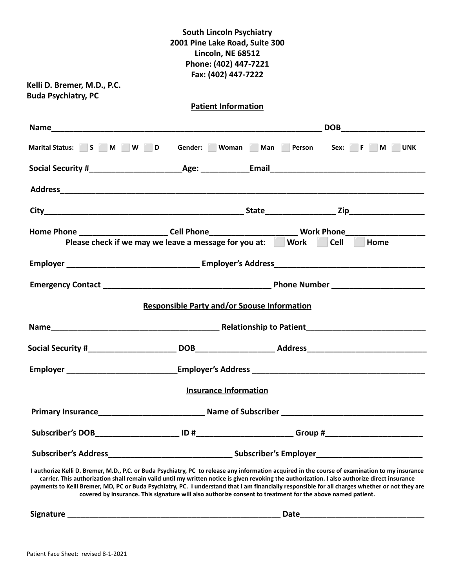# **South Lincoln Psychiatry 2001 Pine Lake Road, Suite 300 Lincoln, NE 68512 Phone: (402) 447-7221 Fax: (402) 447-7222**

**Kelli D. Bremer, M.D., P.C. Buda Psychiatry, PC**

**Patient Information**

| Name and the contract of the contract of the contract of the contract of the contract of the contract of the contract of the contract of the contract of the contract of the contract of the contract of the contract of the c                                                                                                                                                                                                                                                                                                                                    |                                                    |                          | DOB and the contract of the contract of the contract of the contract of the contract of the contract of the contract of the contract of the contract of the contract of the contract of the contract of the contract of the co |
|-------------------------------------------------------------------------------------------------------------------------------------------------------------------------------------------------------------------------------------------------------------------------------------------------------------------------------------------------------------------------------------------------------------------------------------------------------------------------------------------------------------------------------------------------------------------|----------------------------------------------------|--------------------------|--------------------------------------------------------------------------------------------------------------------------------------------------------------------------------------------------------------------------------|
| Marital Status: S M M W D                                                                                                                                                                                                                                                                                                                                                                                                                                                                                                                                         |                                                    | Gender: Woman Man Person | Sex: F M UNK                                                                                                                                                                                                                   |
|                                                                                                                                                                                                                                                                                                                                                                                                                                                                                                                                                                   |                                                    |                          |                                                                                                                                                                                                                                |
|                                                                                                                                                                                                                                                                                                                                                                                                                                                                                                                                                                   |                                                    |                          |                                                                                                                                                                                                                                |
|                                                                                                                                                                                                                                                                                                                                                                                                                                                                                                                                                                   |                                                    |                          |                                                                                                                                                                                                                                |
| Home Phone ____________________________Cell Phone______________________________Work Phone_____________________<br>Please check if we may we leave a message for you at: Work                                                                                                                                                                                                                                                                                                                                                                                      |                                                    |                          | Cell<br>Home                                                                                                                                                                                                                   |
|                                                                                                                                                                                                                                                                                                                                                                                                                                                                                                                                                                   |                                                    |                          |                                                                                                                                                                                                                                |
|                                                                                                                                                                                                                                                                                                                                                                                                                                                                                                                                                                   |                                                    |                          |                                                                                                                                                                                                                                |
|                                                                                                                                                                                                                                                                                                                                                                                                                                                                                                                                                                   | <b>Responsible Party and/or Spouse Information</b> |                          |                                                                                                                                                                                                                                |
|                                                                                                                                                                                                                                                                                                                                                                                                                                                                                                                                                                   |                                                    |                          |                                                                                                                                                                                                                                |
|                                                                                                                                                                                                                                                                                                                                                                                                                                                                                                                                                                   |                                                    |                          |                                                                                                                                                                                                                                |
|                                                                                                                                                                                                                                                                                                                                                                                                                                                                                                                                                                   |                                                    |                          |                                                                                                                                                                                                                                |
|                                                                                                                                                                                                                                                                                                                                                                                                                                                                                                                                                                   | <b>Insurance Information</b>                       |                          |                                                                                                                                                                                                                                |
|                                                                                                                                                                                                                                                                                                                                                                                                                                                                                                                                                                   |                                                    |                          |                                                                                                                                                                                                                                |
|                                                                                                                                                                                                                                                                                                                                                                                                                                                                                                                                                                   |                                                    |                          |                                                                                                                                                                                                                                |
|                                                                                                                                                                                                                                                                                                                                                                                                                                                                                                                                                                   |                                                    |                          |                                                                                                                                                                                                                                |
| I authorize Kelli D. Bremer, M.D., P.C. or Buda Psychiatry, PC to release any information acquired in the course of examination to my insurance<br>carrier. This authorization shall remain valid until my written notice is given revoking the authorization. I also authorize direct insurance<br>payments to Kelli Bremer, MD, PC or Buda Psychiatry, PC. I understand that I am financially responsible for all charges whether or not they are<br>covered by insurance. This signature will also authorize consent to treatment for the above named patient. |                                                    |                          |                                                                                                                                                                                                                                |

**Signature \_\_\_\_\_\_\_\_\_\_\_\_\_\_\_\_\_\_\_\_\_\_\_\_\_\_\_\_\_\_\_\_\_\_\_\_\_\_\_\_\_\_\_\_\_\_\_\_ Date\_\_\_\_\_\_\_\_\_\_\_\_\_\_\_\_\_\_\_\_\_\_\_\_\_\_\_\_**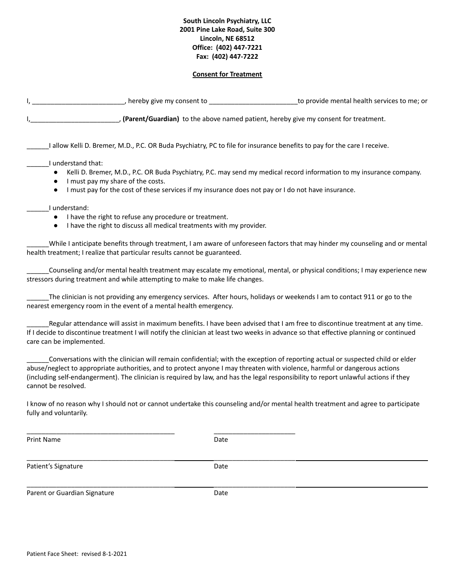#### **South Lincoln Psychiatry, LLC 2001 Pine Lake Road, Suite 300 Lincoln, NE 68512 Office: (402) 447-7221 Fax: (402) 447-7222**

#### **Consent for Treatment**

| , hereby give my consent to                                                           | to provide mental health services to me; or |
|---------------------------------------------------------------------------------------|---------------------------------------------|
| , (Parent/Guardian) to the above named patient, hereby give my consent for treatment. |                                             |

\_\_\_\_\_\_I allow Kelli D. Bremer, M.D., P.C. OR Buda Psychiatry, PC to file for insurance benefits to pay for the care I receive.

- \_\_\_\_\_\_I understand that:
	- Kelli D. Bremer, M.D., P.C. OR Buda Psychiatry, P.C. may send my medical record information to my insurance company.
	- I must pay my share of the costs.
	- I must pay for the cost of these services if my insurance does not pay or I do not have insurance.

\_\_\_\_\_\_I understand:

- I have the right to refuse any procedure or treatment.
- I have the right to discuss all medical treatments with my provider.

\_\_\_\_\_\_\_\_\_\_\_\_\_\_\_\_\_\_\_\_\_\_\_\_\_\_\_\_\_\_\_\_\_\_\_\_\_\_\_\_ \_\_\_\_\_\_\_\_\_\_\_\_\_\_\_\_\_\_\_\_\_\_

\_\_\_\_\_\_\_\_\_\_\_\_\_\_\_\_\_\_\_\_\_\_\_\_\_\_\_\_\_\_\_\_\_\_\_\_\_\_\_\_ \_\_\_\_\_\_\_\_\_\_\_\_\_\_\_\_\_\_\_\_\_\_

\_\_\_\_\_\_\_\_\_\_\_\_\_\_\_\_\_\_\_\_\_\_\_\_\_\_\_\_\_\_\_\_\_\_\_\_\_\_\_\_ \_\_\_\_\_\_\_\_\_\_\_\_\_\_\_\_\_\_\_\_\_\_

\_\_\_\_\_\_While I anticipate benefits through treatment, I am aware of unforeseen factors that may hinder my counseling and or mental health treatment; I realize that particular results cannot be guaranteed.

Counseling and/or mental health treatment may escalate my emotional, mental, or physical conditions; I may experience new stressors during treatment and while attempting to make to make life changes.

The clinician is not providing any emergency services. After hours, holidays or weekends I am to contact 911 or go to the nearest emergency room in the event of a mental health emergency.

Regular attendance will assist in maximum benefits. I have been advised that I am free to discontinue treatment at any time. If I decide to discontinue treatment I will notify the clinician at least two weeks in advance so that effective planning or continued care can be implemented.

\_\_\_\_\_\_Conversations with the clinician will remain confidential; with the exception of reporting actual or suspected child or elder abuse/neglect to appropriate authorities, and to protect anyone I may threaten with violence, harmful or dangerous actions (including self-endangerment). The clinician is required by law, and has the legal responsibility to report unlawful actions if they cannot be resolved.

I know of no reason why I should not or cannot undertake this counseling and/or mental health treatment and agree to participate fully and voluntarily.

Print Name **Date** 

Patient's Signature Date

Parent or Guardian Signature **Date** Date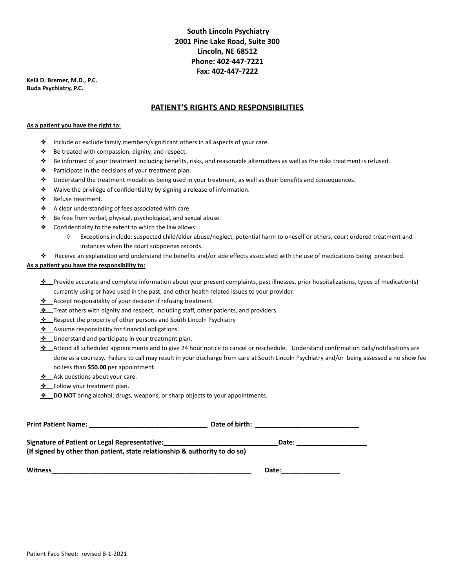# **South Lincoln Psychiatry 2001 Pine Lake Road, Suite 300 Lincoln, NE 68512 Phone: 402-447-7221 Fax: 402-447-7222**

**Kelli D. Bremer, M.D., P.C. Buda Psychiatry, P.C.**

#### **PATIENT'S RIGHTS AND RESPONSIBILITIES**

#### **As a patient you have the right to:**

- ❖ Include or exclude family members/significant others in all aspects of your care.
- ❖ Be treated with compassion, dignity, and respect.
- ❖ Be informed of your treatment including benefits, risks, and reasonable alternatives as well as the risks treatment is refused.
- ❖ Participate in the decisions of your treatment plan.
- ❖ Understand the treatment modalities being used in your treatment, as well as their benefits and consequences.
- ❖ Waive the privilege of confidentiality by signing a release of information.
- ❖ Refuse treatment.
- ❖ A clear understanding of fees associated with care.
- ❖ Be free from verbal, physical, psychological, and sexual abuse.
- ❖ Confidentiality to the extent to which the law allows:
	- ◊ Exceptions include: suspected child/elder abuse/neglect, potential harm to oneself or others, court ordered treatment and instances when the court subpoenas records.
- ❖ Receive an explanation and understand the benefits and/or side effects associated with the use of medications being prescribed.

#### **As a patient you have the responsibility to:**

- ❖ Provide accurate and complete information about your present complaints, past illnesses, prior hospitalizations, types of medication(s) currently using or have used in the past, and other health related issues to your provider.
- ❖ Accept responsibility of your decision if refusing treatment.
- ❖ Treat others with dignity and respect, including staff, other patients, and providers.
- ❖ Respect the property of other persons and South Lincoln Psychiatry
- ❖ Assume responsibility for financial obligations.
- ❖ Understand and participate in your treatment plan.
- ❖ Attend all scheduled appointments and to give 24 hour notice to cancel or reschedule. Understand confirmation calls/notifications are done as a courtesy. Failure to call may result in your discharge from care at South Lincoln Psychiatry and/or being assessed a no show fee no less than **\$50.00** per appointment.
- ❖ Ask questions about your care.
- ❖ Follow your treatment plan.
- $\cdot$  **DO NOT** bring alcohol, drugs, weapons, or sharp objects to your appointments.

| <b>Print Patient Name:</b>                                                 | Date of birth: |  |
|----------------------------------------------------------------------------|----------------|--|
| Signature of Patient or Legal Representative:                              | Date:          |  |
| (If signed by other than patient, state relationship & authority to do so) |                |  |
| <b>Witness</b>                                                             | Date:          |  |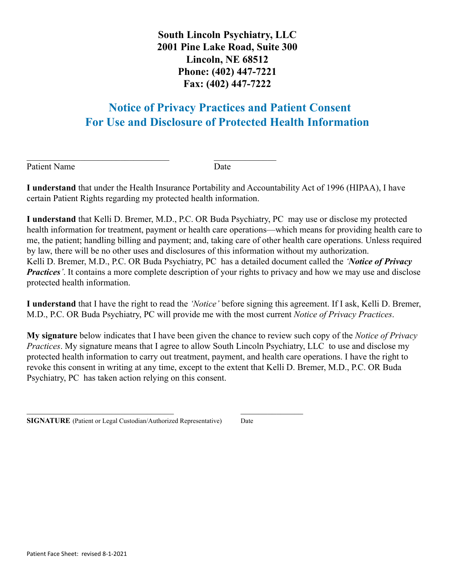**South Lincoln Psychiatry, LLC 2001 Pine Lake Road, Suite 300 Lincoln, NE 68512 Phone: (402) 447-7221 Fax: (402) 447-7222**

# **Notice of Privacy Practices and Patient Consent For Use and Disclosure of Protected Health Information**

Patient Name Date

**I understand** that under the Health Insurance Portability and Accountability Act of 1996 (HIPAA), I have certain Patient Rights regarding my protected health information.

 $\mathcal{L}_\text{max}$  , and the contract of the contract of the contract of the contract of the contract of the contract of the contract of the contract of the contract of the contract of the contract of the contract of the contr

**I understand** that Kelli D. Bremer, M.D., P.C. OR Buda Psychiatry, PC may use or disclose my protected health information for treatment, payment or health care operations—which means for providing health care to me, the patient; handling billing and payment; and, taking care of other health care operations. Unless required by law, there will be no other uses and disclosures of this information without my authorization. Kelli D. Bremer, M.D., P.C. OR Buda Psychiatry, PC has a detailed document called the *'Notice of Privacy Practices*<sup>'</sup>. It contains a more complete description of your rights to privacy and how we may use and disclose protected health information.

**I understand** that I have the right to read the *'Notice'* before signing this agreement. If I ask, Kelli D. Bremer, M.D., P.C. OR Buda Psychiatry, PC will provide me with the most current *Notice of Privacy Practices*.

**My signature** below indicates that I have been given the chance to review such copy of the *Notice of Privacy Practices*. My signature means that I agree to allow South Lincoln Psychiatry, LLC to use and disclose my protected health information to carry out treatment, payment, and health care operations. I have the right to revoke this consent in writing at any time, except to the extent that Kelli D. Bremer, M.D., P.C. OR Buda Psychiatry, PC has taken action relying on this consent.

|  | <b>SIGNATURE</b> (Patient or Legal Custodian/Authorized Representative) | Date |
|--|-------------------------------------------------------------------------|------|
|  |                                                                         |      |

 $\mathcal{L}_\text{max}$  , and the contract of the contract of the contract of the contract of the contract of the contract of the contract of the contract of the contract of the contract of the contract of the contract of the contr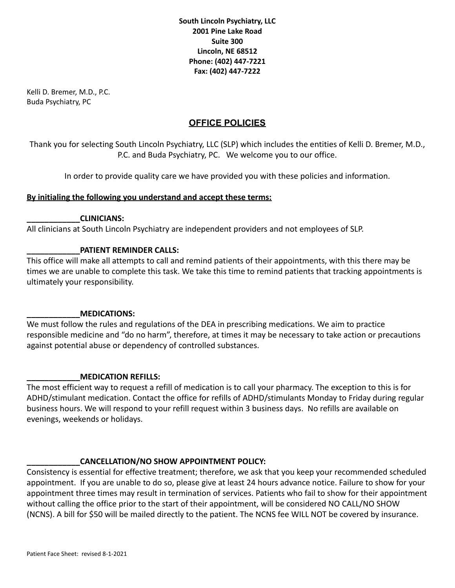**South Lincoln Psychiatry, LLC 2001 Pine Lake Road Suite 300 Lincoln, NE 68512 Phone: (402) 447-7221 Fax: (402) 447-7222**

Kelli D. Bremer, M.D., P.C. Buda Psychiatry, PC

# **OFFICE POLICIES**

Thank you for selecting South Lincoln Psychiatry, LLC (SLP) which includes the entities of Kelli D. Bremer, M.D., P.C. and Buda Psychiatry, PC. We welcome you to our office.

In order to provide quality care we have provided you with these policies and information.

## **By initialing the following you understand and accept these terms:**

## **\_\_\_\_\_\_\_\_\_\_\_\_CLINICIANS:**

All clinicians at South Lincoln Psychiatry are independent providers and not employees of SLP.

# **\_\_\_\_\_\_\_\_\_\_\_\_PATIENT REMINDER CALLS:**

This office will make all attempts to call and remind patients of their appointments, with this there may be times we are unable to complete this task. We take this time to remind patients that tracking appointments is ultimately your responsibility.

#### **\_\_\_\_\_\_\_\_\_\_\_\_MEDICATIONS:**

We must follow the rules and regulations of the DEA in prescribing medications. We aim to practice responsible medicine and "do no harm", therefore, at times it may be necessary to take action or precautions against potential abuse or dependency of controlled substances.

#### **\_\_\_\_\_\_\_\_\_\_\_\_MEDICATION REFILLS:**

The most efficient way to request a refill of medication is to call your pharmacy. The exception to this is for ADHD/stimulant medication. Contact the office for refills of ADHD/stimulants Monday to Friday during regular business hours. We will respond to your refill request within 3 business days. No refills are available on evenings, weekends or holidays.

# **\_\_\_\_\_\_\_\_\_\_\_\_CANCELLATION/NO SHOW APPOINTMENT POLICY:**

Consistency is essential for effective treatment; therefore, we ask that you keep your recommended scheduled appointment. If you are unable to do so, please give at least 24 hours advance notice. Failure to show for your appointment three times may result in termination of services. Patients who fail to show for their appointment without calling the office prior to the start of their appointment, will be considered NO CALL/NO SHOW (NCNS). A bill for \$50 will be mailed directly to the patient. The NCNS fee WILL NOT be covered by insurance.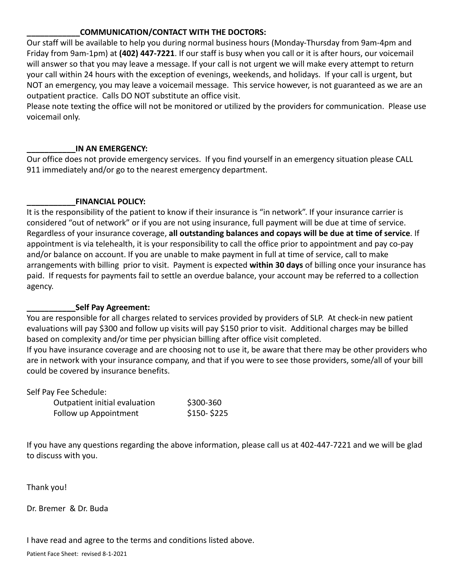# **\_\_\_\_\_\_\_\_\_\_\_\_COMMUNICATION/CONTACT WITH THE DOCTORS:**

Our staff will be available to help you during normal business hours (Monday-Thursday from 9am-4pm and Friday from 9am-1pm) at **(402) 447-7221**. If our staff is busy when you call or it is after hours, our voicemail will answer so that you may leave a message. If your call is not urgent we will make every attempt to return your call within 24 hours with the exception of evenings, weekends, and holidays. If your call is urgent, but NOT an emergency, you may leave a voicemail message. This service however, is not guaranteed as we are an outpatient practice. Calls DO NOT substitute an office visit.

Please note texting the office will not be monitored or utilized by the providers for communication. Please use voicemail only.

## **\_\_\_\_\_\_\_\_\_\_\_IN AN EMERGENCY:**

Our office does not provide emergency services. If you find yourself in an emergency situation please CALL 911 immediately and/or go to the nearest emergency department.

# **\_\_\_\_\_\_\_\_\_\_\_FINANCIAL POLICY:**

It is the responsibility of the patient to know if their insurance is "in network". If your insurance carrier is considered "out of network" or if you are not using insurance, full payment will be due at time of service. Regardless of your insurance coverage, **all outstanding balances and copays will be due at time of service**. If appointment is via telehealth, it is your responsibility to call the office prior to appointment and pay co-pay and/or balance on account. If you are unable to make payment in full at time of service, call to make arrangements with billing prior to visit. Payment is expected **within 30 days** of billing once your insurance has paid. If requests for payments fail to settle an overdue balance, your account may be referred to a collection agency.

# **\_\_\_\_\_\_\_\_\_\_\_Self Pay Agreement:**

You are responsible for all charges related to services provided by providers of SLP. At check-in new patient evaluations will pay \$300 and follow up visits will pay \$150 prior to visit. Additional charges may be billed based on complexity and/or time per physician billing after office visit completed.

If you have insurance coverage and are choosing not to use it, be aware that there may be other providers who are in network with your insurance company, and that if you were to see those providers, some/all of your bill could be covered by insurance benefits.

Self Pay Fee Schedule:

| Outpatient initial evaluation | \$300-360   |
|-------------------------------|-------------|
| Follow up Appointment         | $$150-$225$ |

If you have any questions regarding the above information, please call us at 402-447-7221 and we will be glad to discuss with you.

Thank you!

Dr. Bremer & Dr. Buda

# I have read and agree to the terms and conditions listed above.